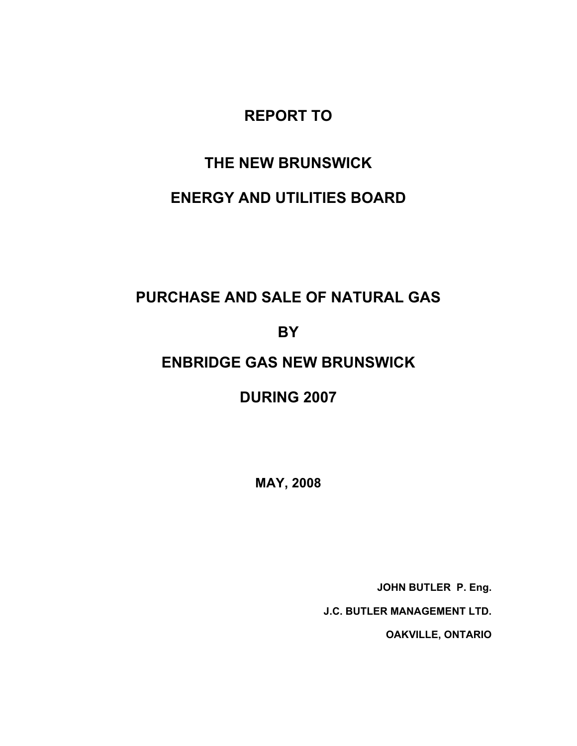### **REPORT TO**

# **THE NEW BRUNSWICK**

### **ENERGY AND UTILITIES BOARD**

# **PURCHASE AND SALE OF NATURAL GAS**

### **BY**

### **ENBRIDGE GAS NEW BRUNSWICK**

# **DURING 2007**

**MAY, 2008** 

**JOHN BUTLER P. Eng.** 

**J.C. BUTLER MANAGEMENT LTD.** 

**OAKVILLE, ONTARIO**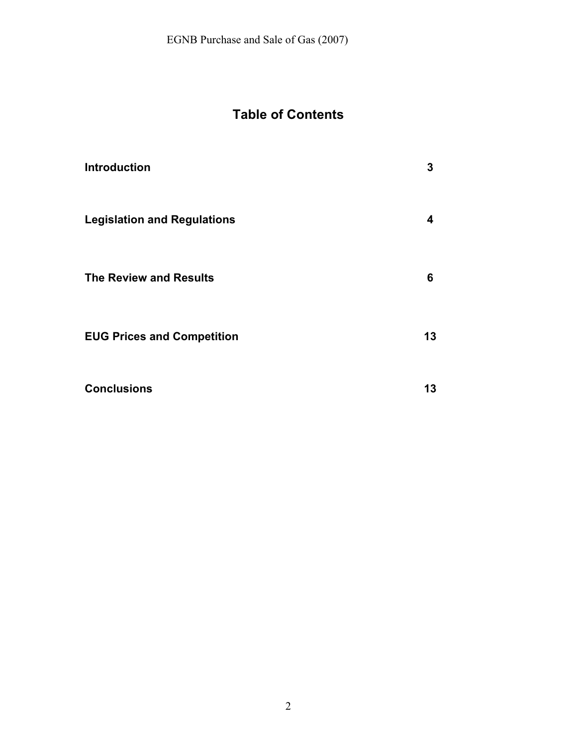# **Table of Contents**

| <b>Introduction</b>                | 3  |
|------------------------------------|----|
| <b>Legislation and Regulations</b> | 4  |
| <b>The Review and Results</b>      | 6  |
| <b>EUG Prices and Competition</b>  | 13 |
| <b>Conclusions</b>                 | 13 |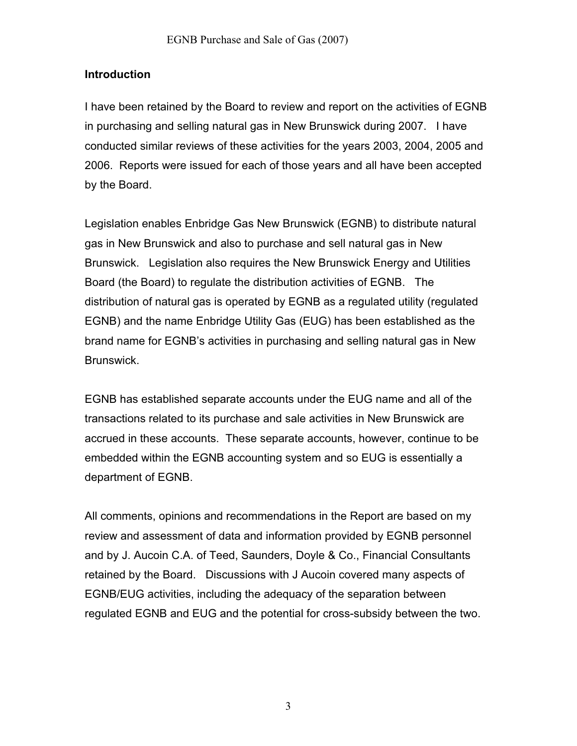#### **Introduction**

I have been retained by the Board to review and report on the activities of EGNB in purchasing and selling natural gas in New Brunswick during 2007. I have conducted similar reviews of these activities for the years 2003, 2004, 2005 and 2006. Reports were issued for each of those years and all have been accepted by the Board.

Legislation enables Enbridge Gas New Brunswick (EGNB) to distribute natural gas in New Brunswick and also to purchase and sell natural gas in New Brunswick. Legislation also requires the New Brunswick Energy and Utilities Board (the Board) to regulate the distribution activities of EGNB. The distribution of natural gas is operated by EGNB as a regulated utility (regulated EGNB) and the name Enbridge Utility Gas (EUG) has been established as the brand name for EGNB's activities in purchasing and selling natural gas in New Brunswick.

EGNB has established separate accounts under the EUG name and all of the transactions related to its purchase and sale activities in New Brunswick are accrued in these accounts. These separate accounts, however, continue to be embedded within the EGNB accounting system and so EUG is essentially a department of EGNB.

All comments, opinions and recommendations in the Report are based on my review and assessment of data and information provided by EGNB personnel and by J. Aucoin C.A. of Teed, Saunders, Doyle & Co., Financial Consultants retained by the Board. Discussions with J Aucoin covered many aspects of EGNB/EUG activities, including the adequacy of the separation between regulated EGNB and EUG and the potential for cross-subsidy between the two.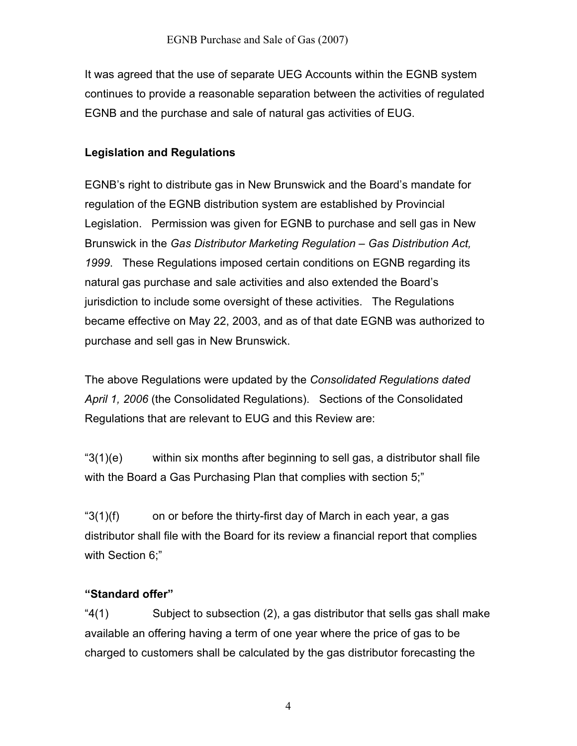It was agreed that the use of separate UEG Accounts within the EGNB system continues to provide a reasonable separation between the activities of regulated EGNB and the purchase and sale of natural gas activities of EUG.

### **Legislation and Regulations**

EGNB's right to distribute gas in New Brunswick and the Board's mandate for regulation of the EGNB distribution system are established by Provincial Legislation. Permission was given for EGNB to purchase and sell gas in New Brunswick in the *Gas Distributor Marketing Regulation – Gas Distribution Act, 1999*. These Regulations imposed certain conditions on EGNB regarding its natural gas purchase and sale activities and also extended the Board's jurisdiction to include some oversight of these activities. The Regulations became effective on May 22, 2003, and as of that date EGNB was authorized to purchase and sell gas in New Brunswick.

The above Regulations were updated by the *Consolidated Regulations dated April 1, 2006* (the Consolidated Regulations). Sections of the Consolidated Regulations that are relevant to EUG and this Review are:

"3(1)(e) within six months after beginning to sell gas, a distributor shall file with the Board a Gas Purchasing Plan that complies with section 5;"

" $3(1)(f)$  on or before the thirty-first day of March in each year, a gas distributor shall file with the Board for its review a financial report that complies with Section 6;"

### **"Standard offer"**

"4(1) Subject to subsection (2), a gas distributor that sells gas shall make available an offering having a term of one year where the price of gas to be charged to customers shall be calculated by the gas distributor forecasting the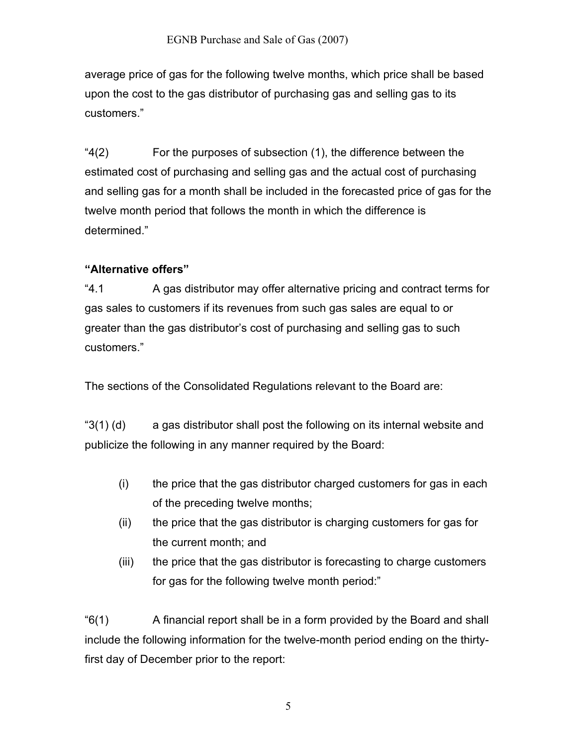average price of gas for the following twelve months, which price shall be based upon the cost to the gas distributor of purchasing gas and selling gas to its customers."

"4(2) For the purposes of subsection (1), the difference between the estimated cost of purchasing and selling gas and the actual cost of purchasing and selling gas for a month shall be included in the forecasted price of gas for the twelve month period that follows the month in which the difference is determined."

### **"Alternative offers"**

"4.1 A gas distributor may offer alternative pricing and contract terms for gas sales to customers if its revenues from such gas sales are equal to or greater than the gas distributor's cost of purchasing and selling gas to such customers."

The sections of the Consolidated Regulations relevant to the Board are:

" $3(1)$  (d) a gas distributor shall post the following on its internal website and publicize the following in any manner required by the Board:

- (i) the price that the gas distributor charged customers for gas in each of the preceding twelve months;
- (ii) the price that the gas distributor is charging customers for gas for the current month; and
- (iii) the price that the gas distributor is forecasting to charge customers for gas for the following twelve month period:"

"6(1) A financial report shall be in a form provided by the Board and shall include the following information for the twelve-month period ending on the thirtyfirst day of December prior to the report: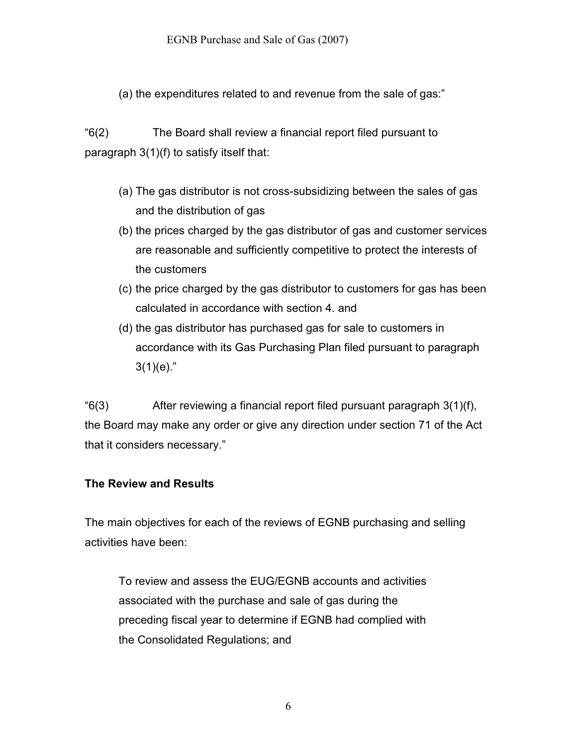(a) the expenditures related to and revenue from the sale of gas:"

"6(2) The Board shall review a financial report filed pursuant to paragraph 3(1)(f) to satisfy itself that:

- (a) The gas distributor is not cross-subsidizing between the sales of gas and the distribution of gas
- (b) the prices charged by the gas distributor of gas and customer services are reasonable and sufficiently competitive to protect the interests of the customers
- (c) the price charged by the gas distributor to customers for gas has been calculated in accordance with section 4. and
- (d) the gas distributor has purchased gas for sale to customers in accordance with its Gas Purchasing Plan filed pursuant to paragraph  $3(1)(e)$ ."

 $f(3)$  After reviewing a financial report filed pursuant paragraph  $3(1)(f)$ , the Board may make any order or give any direction under section 71 of the Act that it considers necessary."

#### **The Review and Results**

The main objectives for each of the reviews of EGNB purchasing and selling activities have been:

To review and assess the EUG/EGNB accounts and activities associated with the purchase and sale of gas during the preceding fiscal year to determine if EGNB had complied with the Consolidated Regulations; and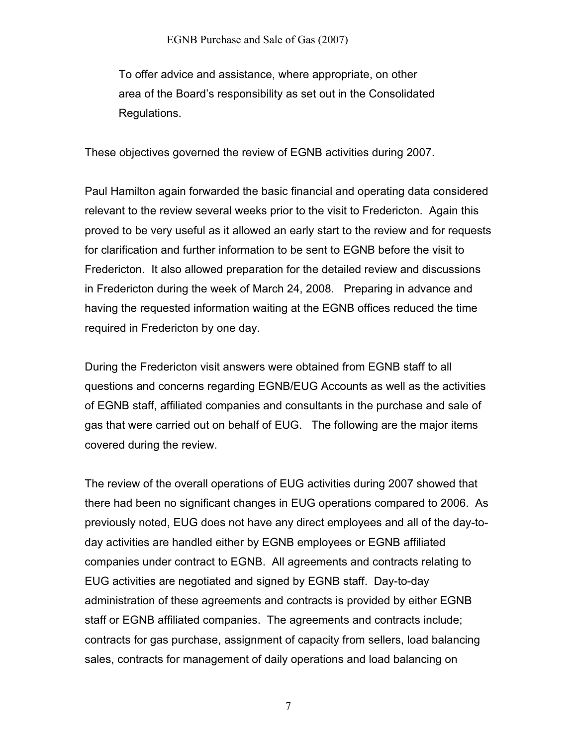To offer advice and assistance, where appropriate, on other area of the Board's responsibility as set out in the Consolidated Regulations.

These objectives governed the review of EGNB activities during 2007.

Paul Hamilton again forwarded the basic financial and operating data considered relevant to the review several weeks prior to the visit to Fredericton. Again this proved to be very useful as it allowed an early start to the review and for requests for clarification and further information to be sent to EGNB before the visit to Fredericton. It also allowed preparation for the detailed review and discussions in Fredericton during the week of March 24, 2008. Preparing in advance and having the requested information waiting at the EGNB offices reduced the time required in Fredericton by one day.

During the Fredericton visit answers were obtained from EGNB staff to all questions and concerns regarding EGNB/EUG Accounts as well as the activities of EGNB staff, affiliated companies and consultants in the purchase and sale of gas that were carried out on behalf of EUG. The following are the major items covered during the review.

The review of the overall operations of EUG activities during 2007 showed that there had been no significant changes in EUG operations compared to 2006. As previously noted, EUG does not have any direct employees and all of the day-today activities are handled either by EGNB employees or EGNB affiliated companies under contract to EGNB. All agreements and contracts relating to EUG activities are negotiated and signed by EGNB staff. Day-to-day administration of these agreements and contracts is provided by either EGNB staff or EGNB affiliated companies. The agreements and contracts include; contracts for gas purchase, assignment of capacity from sellers, load balancing sales, contracts for management of daily operations and load balancing on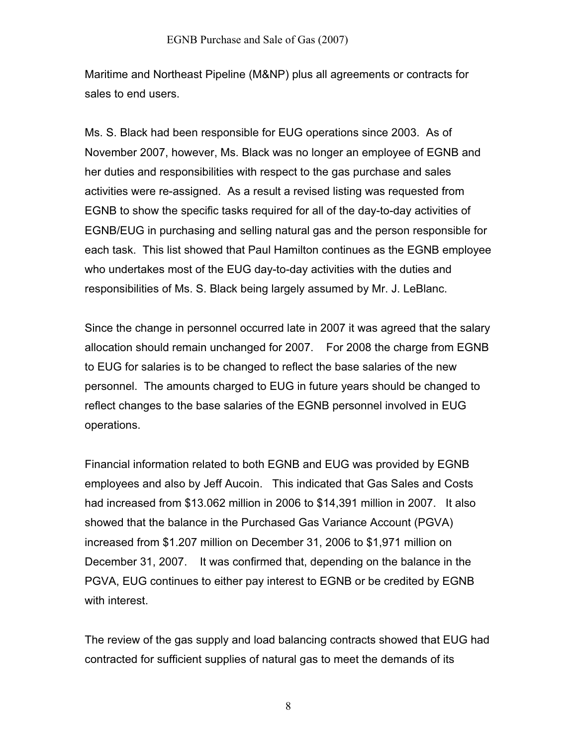Maritime and Northeast Pipeline (M&NP) plus all agreements or contracts for sales to end users.

Ms. S. Black had been responsible for EUG operations since 2003. As of November 2007, however, Ms. Black was no longer an employee of EGNB and her duties and responsibilities with respect to the gas purchase and sales activities were re-assigned. As a result a revised listing was requested from EGNB to show the specific tasks required for all of the day-to-day activities of EGNB/EUG in purchasing and selling natural gas and the person responsible for each task. This list showed that Paul Hamilton continues as the EGNB employee who undertakes most of the EUG day-to-day activities with the duties and responsibilities of Ms. S. Black being largely assumed by Mr. J. LeBlanc.

Since the change in personnel occurred late in 2007 it was agreed that the salary allocation should remain unchanged for 2007. For 2008 the charge from EGNB to EUG for salaries is to be changed to reflect the base salaries of the new personnel. The amounts charged to EUG in future years should be changed to reflect changes to the base salaries of the EGNB personnel involved in EUG operations.

Financial information related to both EGNB and EUG was provided by EGNB employees and also by Jeff Aucoin. This indicated that Gas Sales and Costs had increased from \$13.062 million in 2006 to \$14,391 million in 2007. It also showed that the balance in the Purchased Gas Variance Account (PGVA) increased from \$1.207 million on December 31, 2006 to \$1,971 million on December 31, 2007. It was confirmed that, depending on the balance in the PGVA, EUG continues to either pay interest to EGNB or be credited by EGNB with interest.

The review of the gas supply and load balancing contracts showed that EUG had contracted for sufficient supplies of natural gas to meet the demands of its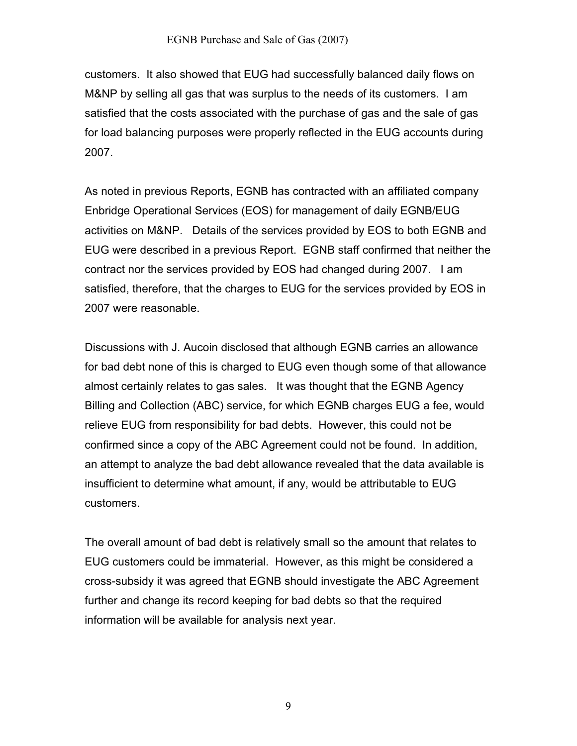customers. It also showed that EUG had successfully balanced daily flows on M&NP by selling all gas that was surplus to the needs of its customers. I am satisfied that the costs associated with the purchase of gas and the sale of gas for load balancing purposes were properly reflected in the EUG accounts during 2007.

As noted in previous Reports, EGNB has contracted with an affiliated company Enbridge Operational Services (EOS) for management of daily EGNB/EUG activities on M&NP. Details of the services provided by EOS to both EGNB and EUG were described in a previous Report. EGNB staff confirmed that neither the contract nor the services provided by EOS had changed during 2007. I am satisfied, therefore, that the charges to EUG for the services provided by EOS in 2007 were reasonable.

Discussions with J. Aucoin disclosed that although EGNB carries an allowance for bad debt none of this is charged to EUG even though some of that allowance almost certainly relates to gas sales. It was thought that the EGNB Agency Billing and Collection (ABC) service, for which EGNB charges EUG a fee, would relieve EUG from responsibility for bad debts. However, this could not be confirmed since a copy of the ABC Agreement could not be found. In addition, an attempt to analyze the bad debt allowance revealed that the data available is insufficient to determine what amount, if any, would be attributable to EUG customers.

The overall amount of bad debt is relatively small so the amount that relates to EUG customers could be immaterial. However, as this might be considered a cross-subsidy it was agreed that EGNB should investigate the ABC Agreement further and change its record keeping for bad debts so that the required information will be available for analysis next year.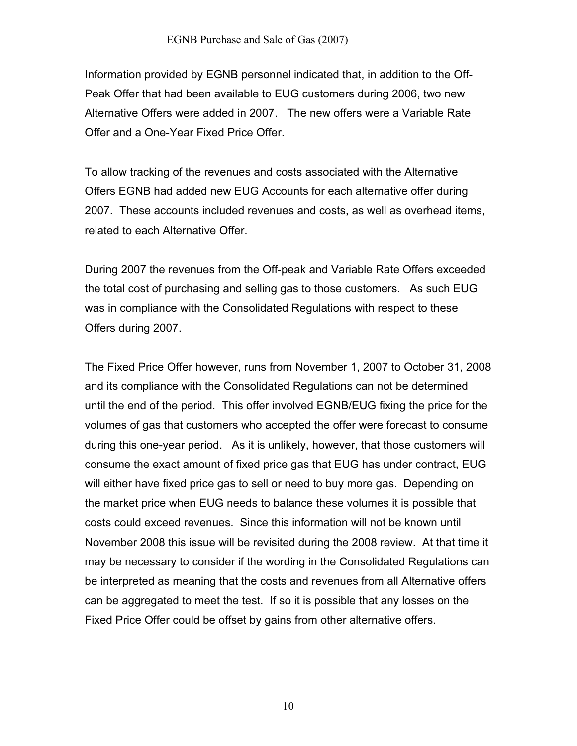#### EGNB Purchase and Sale of Gas (2007)

Information provided by EGNB personnel indicated that, in addition to the Off-Peak Offer that had been available to EUG customers during 2006, two new Alternative Offers were added in 2007. The new offers were a Variable Rate Offer and a One-Year Fixed Price Offer.

To allow tracking of the revenues and costs associated with the Alternative Offers EGNB had added new EUG Accounts for each alternative offer during 2007. These accounts included revenues and costs, as well as overhead items, related to each Alternative Offer.

During 2007 the revenues from the Off-peak and Variable Rate Offers exceeded the total cost of purchasing and selling gas to those customers. As such EUG was in compliance with the Consolidated Regulations with respect to these Offers during 2007.

The Fixed Price Offer however, runs from November 1, 2007 to October 31, 2008 and its compliance with the Consolidated Regulations can not be determined until the end of the period. This offer involved EGNB/EUG fixing the price for the volumes of gas that customers who accepted the offer were forecast to consume during this one-year period. As it is unlikely, however, that those customers will consume the exact amount of fixed price gas that EUG has under contract, EUG will either have fixed price gas to sell or need to buy more gas. Depending on the market price when EUG needs to balance these volumes it is possible that costs could exceed revenues. Since this information will not be known until November 2008 this issue will be revisited during the 2008 review. At that time it may be necessary to consider if the wording in the Consolidated Regulations can be interpreted as meaning that the costs and revenues from all Alternative offers can be aggregated to meet the test. If so it is possible that any losses on the Fixed Price Offer could be offset by gains from other alternative offers.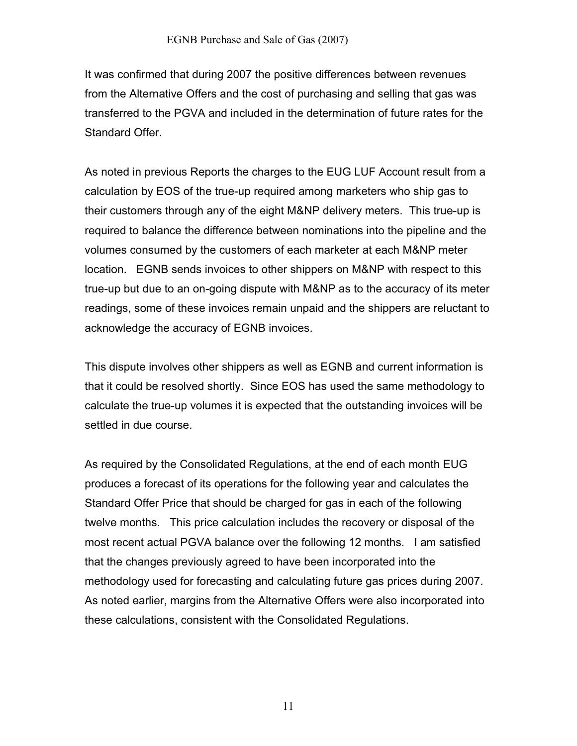It was confirmed that during 2007 the positive differences between revenues from the Alternative Offers and the cost of purchasing and selling that gas was transferred to the PGVA and included in the determination of future rates for the Standard Offer.

As noted in previous Reports the charges to the EUG LUF Account result from a calculation by EOS of the true-up required among marketers who ship gas to their customers through any of the eight M&NP delivery meters. This true-up is required to balance the difference between nominations into the pipeline and the volumes consumed by the customers of each marketer at each M&NP meter location. EGNB sends invoices to other shippers on M&NP with respect to this true-up but due to an on-going dispute with M&NP as to the accuracy of its meter readings, some of these invoices remain unpaid and the shippers are reluctant to acknowledge the accuracy of EGNB invoices.

This dispute involves other shippers as well as EGNB and current information is that it could be resolved shortly. Since EOS has used the same methodology to calculate the true-up volumes it is expected that the outstanding invoices will be settled in due course.

As required by the Consolidated Regulations, at the end of each month EUG produces a forecast of its operations for the following year and calculates the Standard Offer Price that should be charged for gas in each of the following twelve months. This price calculation includes the recovery or disposal of the most recent actual PGVA balance over the following 12 months. I am satisfied that the changes previously agreed to have been incorporated into the methodology used for forecasting and calculating future gas prices during 2007. As noted earlier, margins from the Alternative Offers were also incorporated into these calculations, consistent with the Consolidated Regulations.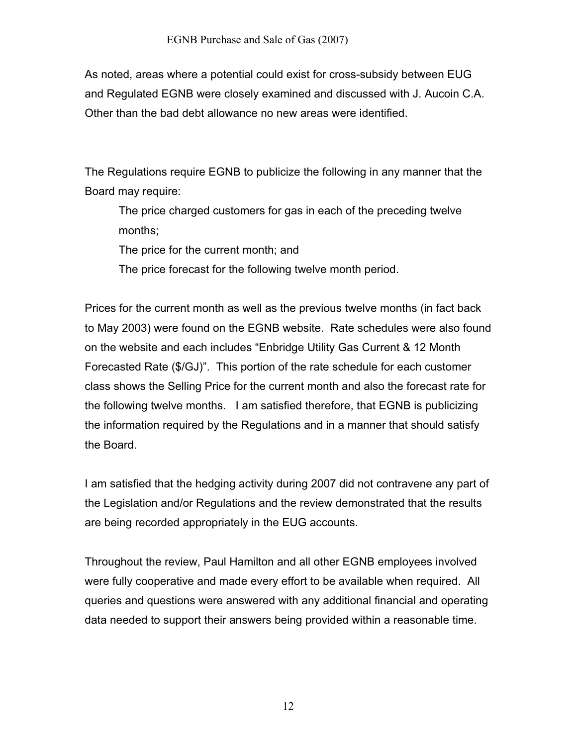As noted, areas where a potential could exist for cross-subsidy between EUG and Regulated EGNB were closely examined and discussed with J. Aucoin C.A. Other than the bad debt allowance no new areas were identified.

The Regulations require EGNB to publicize the following in any manner that the Board may require:

The price charged customers for gas in each of the preceding twelve months;

The price for the current month; and

The price forecast for the following twelve month period.

Prices for the current month as well as the previous twelve months (in fact back to May 2003) were found on the EGNB website. Rate schedules were also found on the website and each includes "Enbridge Utility Gas Current & 12 Month Forecasted Rate (\$/GJ)". This portion of the rate schedule for each customer class shows the Selling Price for the current month and also the forecast rate for the following twelve months. I am satisfied therefore, that EGNB is publicizing the information required by the Regulations and in a manner that should satisfy the Board.

I am satisfied that the hedging activity during 2007 did not contravene any part of the Legislation and/or Regulations and the review demonstrated that the results are being recorded appropriately in the EUG accounts.

Throughout the review, Paul Hamilton and all other EGNB employees involved were fully cooperative and made every effort to be available when required. All queries and questions were answered with any additional financial and operating data needed to support their answers being provided within a reasonable time.